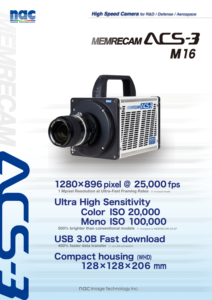

# MEMRECAM ACS-3 **M16**



## 1280×896 pixel @ 25,000 fps

**1 Mpixel Resolution at Ultra-Fast Framing Rates**  $\frac{1}{2}$ *In box* 

## Ultra High Sensitivity Color ISO 20,000 Mono ISO 100,000

 **500% brighter than conventional models** ※ *Compare to MEMRECAM GX-8F*

## USB 3.0B Fast download **400% faster data transfer**  $\frac{1}{2}$  *vs LAN connection*

Compact housing (WHD) 128×128×206 mm

nac Image Technology Inc.